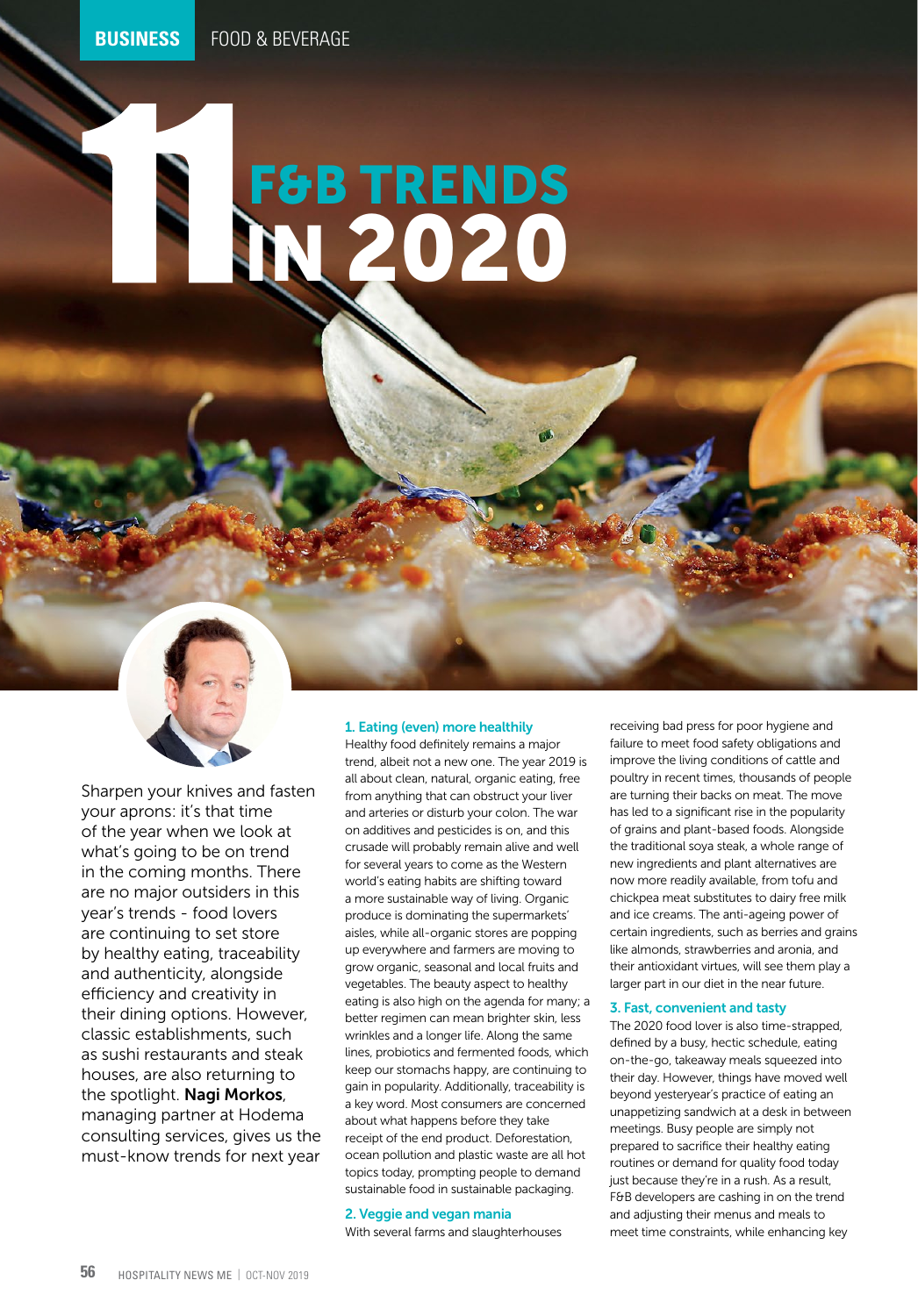# IN 2020 F&B TRENDS



Sharpen your knives and fasten your aprons: it's that time of the year when we look at what's going to be on trend in the coming months. There are no major outsiders in this year's trends - food lovers are continuing to set store by healthy eating, traceability and authenticity, alongside efficiency and creativity in their dining options. However, classic establishments, such as sushi restaurants and steak houses, are also returning to the spotlight. Nagi Morkos, managing partner at Hodema consulting services, gives us the must-know trends for next year

#### 1. Eating (even) more healthily

Healthy food definitely remains a major trend, albeit not a new one. The year 2019 is all about clean, natural, organic eating, free from anything that can obstruct your liver and arteries or disturb your colon. The war on additives and pesticides is on, and this crusade will probably remain alive and well for several years to come as the Western world's eating habits are shifting toward a more sustainable way of living. Organic produce is dominating the supermarkets' aisles, while all-organic stores are popping up everywhere and farmers are moving to grow organic, seasonal and local fruits and vegetables. The beauty aspect to healthy eating is also high on the agenda for many; a better regimen can mean brighter skin, less wrinkles and a longer life. Along the same lines, probiotics and fermented foods, which keep our stomachs happy, are continuing to gain in popularity. Additionally, traceability is a key word. Most consumers are concerned about what happens before they take receipt of the end product. Deforestation, ocean pollution and plastic waste are all hot topics today, prompting people to demand sustainable food in sustainable packaging.

#### 2. Veggie and vegan mania

With several farms and slaughterhouses

receiving bad press for poor hygiene and failure to meet food safety obligations and improve the living conditions of cattle and poultry in recent times, thousands of people are turning their backs on meat. The move has led to a significant rise in the popularity of grains and plant-based foods. Alongside the traditional soya steak, a whole range of new ingredients and plant alternatives are now more readily available, from tofu and chickpea meat substitutes to dairy free milk and ice creams. The anti-ageing power of certain ingredients, such as berries and grains like almonds, strawberries and aronia, and their antioxidant virtues, will see them play a larger part in our diet in the near future.

#### 3. Fast, convenient and tasty

The 2020 food lover is also time-strapped, defined by a busy, hectic schedule, eating on-the-go, takeaway meals squeezed into their day. However, things have moved well beyond yesteryear's practice of eating an unappetizing sandwich at a desk in between meetings. Busy people are simply not prepared to sacrifice their healthy eating routines or demand for quality food today just because they're in a rush. As a result, F&B developers are cashing in on the trend and adjusting their menus and meals to meet time constraints, while enhancing key